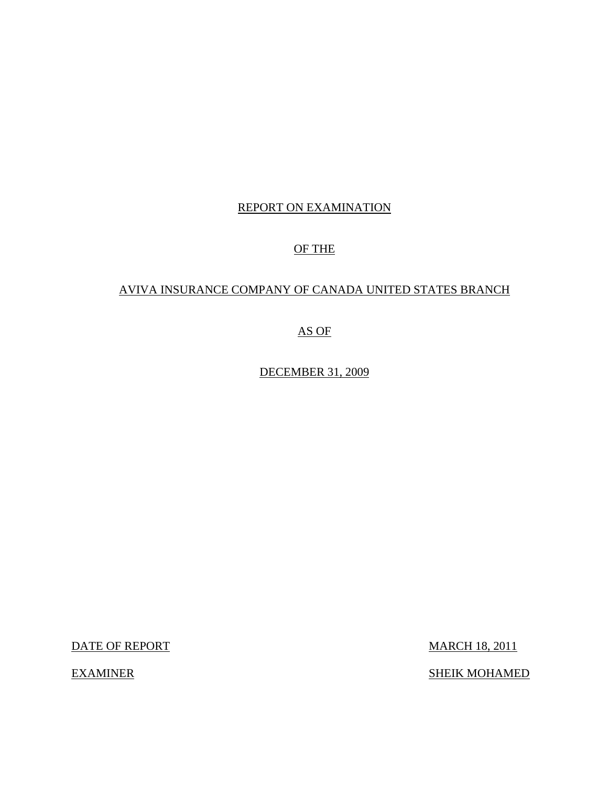# REPORT ON EXAMINATION

# OF THE

# AVIVA INSURANCE COMPANY OF CANADA UNITED STATES BRANCH

# AS OF

DECEMBER 31, 2009

DATE OF REPORT MARCH 18, 2011

EXAMINER SHEIK MOHAMED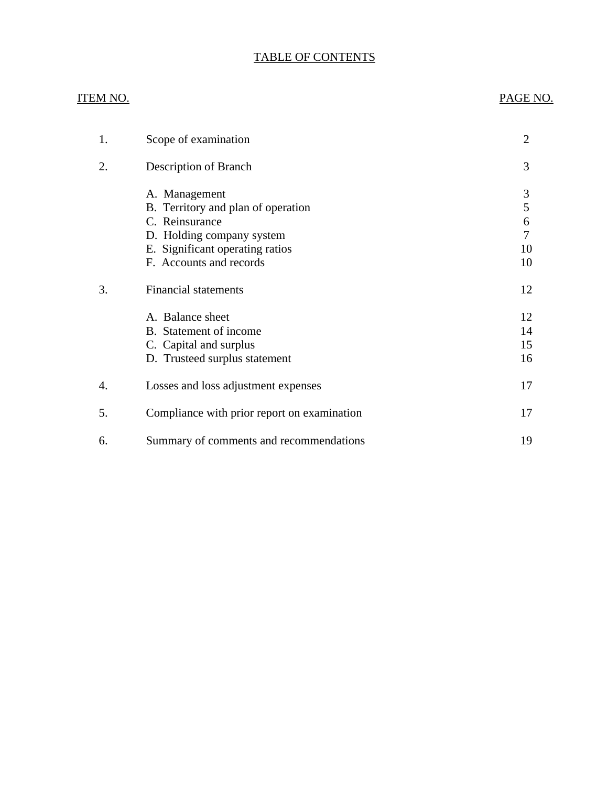# TABLE OF CONTENTS

# ITEM NO.

# PAGE NO.

| 1. | Scope of examination                                                                                                                                             | 2                            |
|----|------------------------------------------------------------------------------------------------------------------------------------------------------------------|------------------------------|
| 2. | Description of Branch                                                                                                                                            | 3                            |
|    | A. Management<br>B. Territory and plan of operation<br>C. Reinsurance<br>D. Holding company system<br>E. Significant operating ratios<br>F. Accounts and records | 3<br>5<br>6<br>7<br>10<br>10 |
| 3. | <b>Financial statements</b>                                                                                                                                      | 12                           |
|    | A. Balance sheet<br>B. Statement of income<br>C. Capital and surplus<br>D. Trusteed surplus statement                                                            | 12<br>14<br>15<br>16         |
| 4. | Losses and loss adjustment expenses                                                                                                                              | 17                           |
| 5. | Compliance with prior report on examination                                                                                                                      | 17                           |
| 6. | Summary of comments and recommendations                                                                                                                          | 19                           |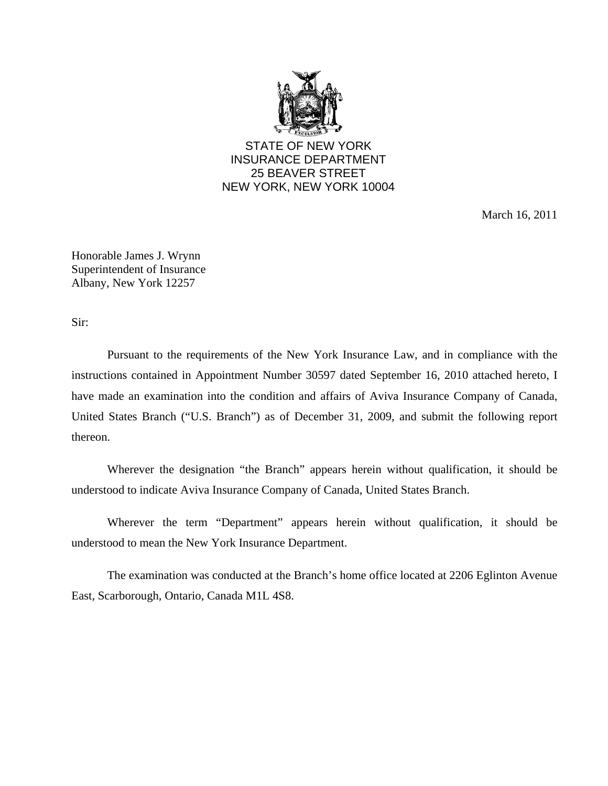

STATE OF NEW YORK INSURANCE DEPARTMENT 25 BEAVER STREET NEW YORK, NEW YORK 10004

March 16, 2011

Honorable James J. Wrynn Superintendent of Insurance Albany, New York 12257

Sir:

Pursuant to the requirements of the New York Insurance Law, and in compliance with the instructions contained in Appointment Number 30597 dated September 16, 2010 attached hereto, I have made an examination into the condition and affairs of Aviva Insurance Company of Canada, United States Branch ("U.S. Branch") as of December 31, 2009, and submit the following report thereon.

Wherever the designation "the Branch" appears herein without qualification, it should be understood to indicate Aviva Insurance Company of Canada, United States Branch.

Wherever the term "Department" appears herein without qualification, it should be understood to mean the New York Insurance Department.

The examination was conducted at the Branch's home office located at 2206 Eglinton Avenue East, Scarborough, Ontario, Canada M1L 4S8.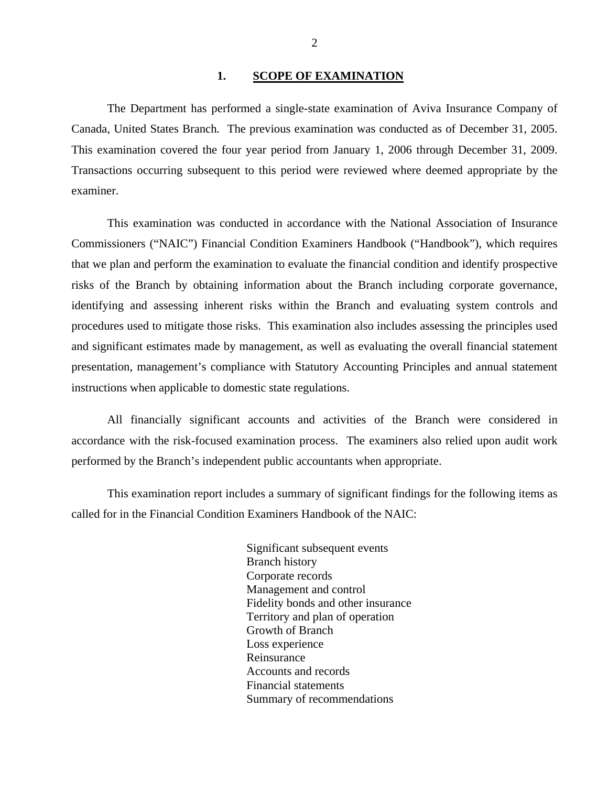#### 1. SCOPE OF EXAMINATION

<span id="page-3-0"></span>The Department has performed a single-state examination of Aviva Insurance Company of Canada, United States Branch*.* The previous examination was conducted as of December 31, 2005. This examination covered the four year period from January 1, 2006 through December 31, 2009. Transactions occurring subsequent to this period were reviewed where deemed appropriate by the examiner.

This examination was conducted in accordance with the National Association of Insurance Commissioners ("NAIC") Financial Condition Examiners Handbook ("Handbook"), which requires that we plan and perform the examination to evaluate the financial condition and identify prospective risks of the Branch by obtaining information about the Branch including corporate governance, identifying and assessing inherent risks within the Branch and evaluating system controls and procedures used to mitigate those risks. This examination also includes assessing the principles used and significant estimates made by management, as well as evaluating the overall financial statement presentation, management's compliance with Statutory Accounting Principles and annual statement instructions when applicable to domestic state regulations.

All financially significant accounts and activities of the Branch were considered in accordance with the risk-focused examination process. The examiners also relied upon audit work performed by the Branch's independent public accountants when appropriate.

This examination report includes a summary of significant findings for the following items as called for in the Financial Condition Examiners Handbook of the NAIC:

> Significant subsequent events Branch history Corporate records Management and control Fidelity bonds and other insurance Territory and plan of operation Growth of Branch Loss experience Reinsurance Accounts and records Financial statements Summary of recommendations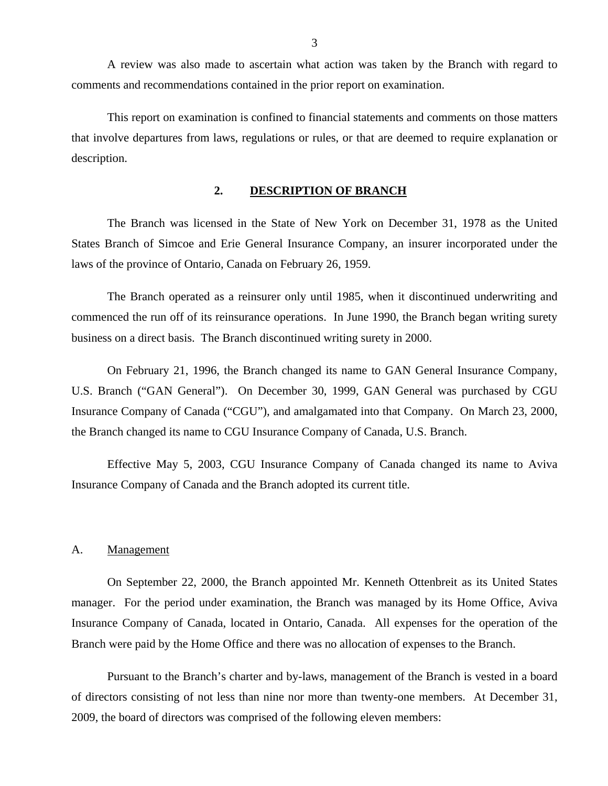<span id="page-4-0"></span>A review was also made to ascertain what action was taken by the Branch with regard to comments and recommendations contained in the prior report on examination.

This report on examination is confined to financial statements and comments on those matters that involve departures from laws, regulations or rules, or that are deemed to require explanation or description.

#### **2. DESCRIPTION OF BRANCH**

The Branch was licensed in the State of New York on December 31, 1978 as the United States Branch of Simcoe and Erie General Insurance Company, an insurer incorporated under the laws of the province of Ontario, Canada on February 26, 1959.

The Branch operated as a reinsurer only until 1985, when it discontinued underwriting and commenced the run off of its reinsurance operations. In June 1990, the Branch began writing surety business on a direct basis. The Branch discontinued writing surety in 2000.

On February 21, 1996, the Branch changed its name to GAN General Insurance Company, U.S. Branch ("GAN General"). On December 30, 1999, GAN General was purchased by CGU Insurance Company of Canada ("CGU"), and amalgamated into that Company. On March 23, 2000, the Branch changed its name to CGU Insurance Company of Canada, U.S. Branch.

Effective May 5, 2003, CGU Insurance Company of Canada changed its name to Aviva Insurance Company of Canada and the Branch adopted its current title.

#### A. Management

On September 22, 2000, the Branch appointed Mr. Kenneth Ottenbreit as its United States manager. For the period under examination, the Branch was managed by its Home Office, Aviva Insurance Company of Canada, located in Ontario, Canada. All expenses for the operation of the Branch were paid by the Home Office and there was no allocation of expenses to the Branch.

Pursuant to the Branch's charter and by-laws, management of the Branch is vested in a board of directors consisting of not less than nine nor more than twenty-one members. At December 31, 2009, the board of directors was comprised of the following eleven members: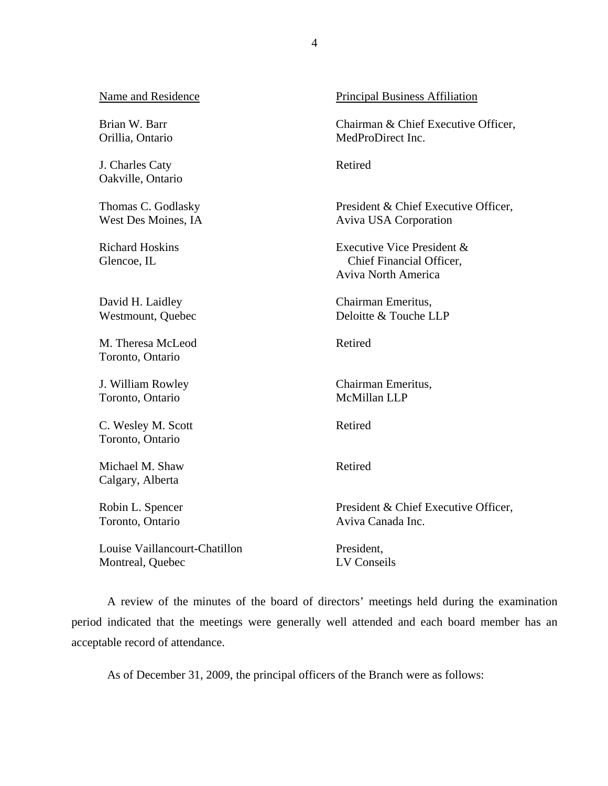| Name and Residence                     | Principal Business Affiliation                                                       |
|----------------------------------------|--------------------------------------------------------------------------------------|
| Brian W. Barr                          | Chairman & Chief Executive Officer,                                                  |
| Orillia, Ontario                       | MedProDirect Inc.                                                                    |
| J. Charles Caty<br>Oakville, Ontario   | Retired                                                                              |
| Thomas C. Godlasky                     | President & Chief Executive Officer,                                                 |
| West Des Moines, IA                    | Aviva USA Corporation                                                                |
| <b>Richard Hoskins</b><br>Glencoe, IL  | Executive Vice President &<br>Chief Financial Officer,<br><b>Aviva North America</b> |
| David H. Laidley                       | Chairman Emeritus,                                                                   |
| Westmount, Quebec                      | Deloitte & Touche LLP                                                                |
| M. Theresa McLeod<br>Toronto, Ontario  | Retired                                                                              |
| J. William Rowley                      | Chairman Emeritus,                                                                   |
| Toronto, Ontario                       | McMillan LLP                                                                         |
| C. Wesley M. Scott<br>Toronto, Ontario | Retired                                                                              |
| Michael M. Shaw<br>Calgary, Alberta    | Retired                                                                              |
| Robin L. Spencer                       | President & Chief Executive Officer,                                                 |
| Toronto, Ontario                       | Aviva Canada Inc.                                                                    |
| Louise Vaillancourt-Chatillon          | President,                                                                           |
| Montreal, Quebec                       | LV Conseils                                                                          |

A review of the minutes of the board of directors' meetings held during the examination period indicated that the meetings were generally well attended and each board member has an acceptable record of attendance.

As of December 31, 2009, the principal officers of the Branch were as follows: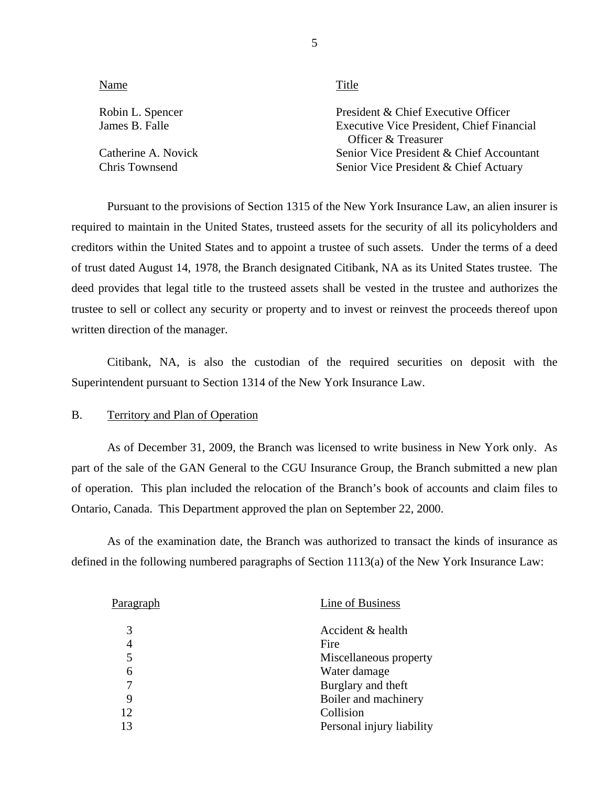| Name                                  | Title                                                                                                          |
|---------------------------------------|----------------------------------------------------------------------------------------------------------------|
| Robin L. Spencer<br>James B. Falle    | President & Chief Executive Officer<br><b>Executive Vice President, Chief Financial</b><br>Officer & Treasurer |
| Catherine A. Novick<br>Chris Townsend | Senior Vice President & Chief Accountant<br>Senior Vice President & Chief Actuary                              |

Pursuant to the provisions of Section 1315 of the New York Insurance Law, an alien insurer is required to maintain in the United States, trusteed assets for the security of all its policyholders and creditors within the United States and to appoint a trustee of such assets. Under the terms of a deed of trust dated August 14, 1978, the Branch designated Citibank, NA as its United States trustee. The deed provides that legal title to the trusteed assets shall be vested in the trustee and authorizes the trustee to sell or collect any security or property and to invest or reinvest the proceeds thereof upon written direction of the manager.

Citibank, NA, is also the custodian of the required securities on deposit with the Superintendent pursuant to Section 1314 of the New York Insurance Law.

#### B. Territory and Plan of Operation

As of December 31, 2009, the Branch was licensed to write business in New York only. As part of the sale of the GAN General to the CGU Insurance Group, the Branch submitted a new plan of operation. This plan included the relocation of the Branch's book of accounts and claim files to Ontario, Canada. This Department approved the plan on September 22, 2000.

As of the examination date, the Branch was authorized to transact the kinds of insurance as defined in the following numbered paragraphs of Section 1113(a) of the New York Insurance Law:

| 3<br>Accident & health<br>Fire<br>4<br>5<br>Water damage<br>6<br>Burglary and theft<br>Boiler and machinery<br>9<br>Collision<br>12<br>13 | Paragraph | Line of Business          |
|-------------------------------------------------------------------------------------------------------------------------------------------|-----------|---------------------------|
|                                                                                                                                           |           |                           |
|                                                                                                                                           |           |                           |
|                                                                                                                                           |           | Miscellaneous property    |
|                                                                                                                                           |           |                           |
|                                                                                                                                           |           |                           |
|                                                                                                                                           |           |                           |
|                                                                                                                                           |           |                           |
|                                                                                                                                           |           | Personal injury liability |

5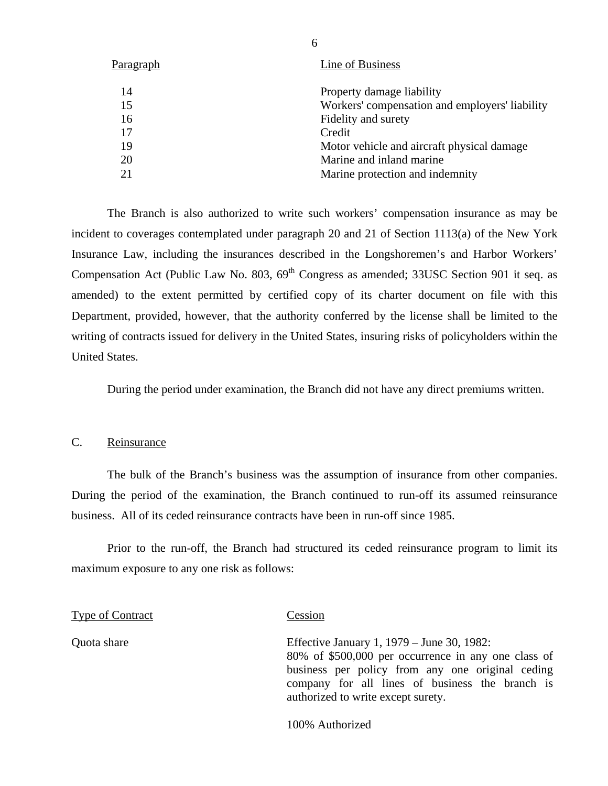<span id="page-7-0"></span>

| Line of Business                               |
|------------------------------------------------|
| Property damage liability                      |
| Workers' compensation and employers' liability |
| Fidelity and surety                            |
| Credit                                         |
| Motor vehicle and aircraft physical damage     |
| Marine and inland marine                       |
| Marine protection and indemnity                |
|                                                |

The Branch is also authorized to write such workers' compensation insurance as may be incident to coverages contemplated under paragraph 20 and 21 of Section 1113(a) of the New York Insurance Law, including the insurances described in the Longshoremen's and Harbor Workers' Compensation Act (Public Law No.  $803$ ,  $69<sup>th</sup>$  Congress as amended; 33USC Section 901 it seq. as amended) to the extent permitted by certified copy of its charter document on file with this Department, provided, however, that the authority conferred by the license shall be limited to the writing of contracts issued for delivery in the United States, insuring risks of policyholders within the United States.

During the period under examination, the Branch did not have any direct premiums written.

#### C. Reinsurance

The bulk of the Branch's business was the assumption of insurance from other companies. During the period of the examination, the Branch continued to run-off its assumed reinsurance business. All of its ceded reinsurance contracts have been in run-off since 1985.

Prior to the run-off, the Branch had structured its ceded reinsurance program to limit its maximum exposure to any one risk as follows:

Type of Contract Cession Quota share Effective January 1, 1979 – June 30, 1982: 80% of \$500,000 per occurrence in any one class of business per policy from any one original ceding

100% Authorized

authorized to write except surety.

company for all lines of business the branch is

6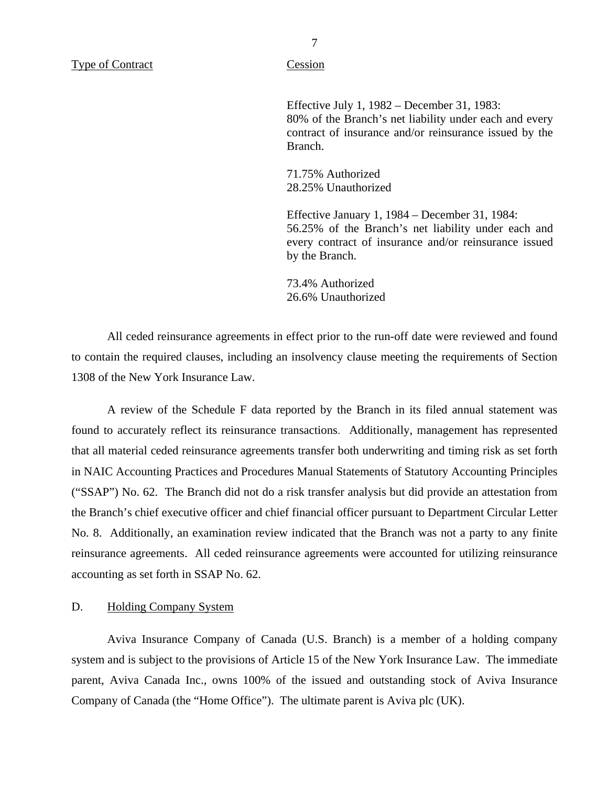<span id="page-8-0"></span>

Effective July 1, 1982 – December 31, 1983: 80% of the Branch's net liability under each and every contract of insurance and/or reinsurance issued by the Branch.

71.75% Authorized 28.25% Unauthorized

Effective January 1, 1984 – December 31, 1984: 56.25% of the Branch's net liability under each and every contract of insurance and/or reinsurance issued by the Branch.

73.4% Authorized 26.6% Unauthorized

All ceded reinsurance agreements in effect prior to the run-off date were reviewed and found to contain the required clauses, including an insolvency clause meeting the requirements of Section 1308 of the New York Insurance Law.

A review of the Schedule F data reported by the Branch in its filed annual statement was found to accurately reflect its reinsurance transactions. Additionally, management has represented that all material ceded reinsurance agreements transfer both underwriting and timing risk as set forth in NAIC Accounting Practices and Procedures Manual Statements of Statutory Accounting Principles ("SSAP") No. 62. The Branch did not do a risk transfer analysis but did provide an attestation from the Branch's chief executive officer and chief financial officer pursuant to Department Circular Letter No. 8. Additionally, an examination review indicated that the Branch was not a party to any finite reinsurance agreements. All ceded reinsurance agreements were accounted for utilizing reinsurance accounting as set forth in SSAP No. 62.

#### D. Holding Company System

Aviva Insurance Company of Canada (U.S. Branch) is a member of a holding company system and is subject to the provisions of Article 15 of the New York Insurance Law. The immediate parent, Aviva Canada Inc., owns 100% of the issued and outstanding stock of Aviva Insurance Company of Canada (the "Home Office"). The ultimate parent is Aviva plc (UK).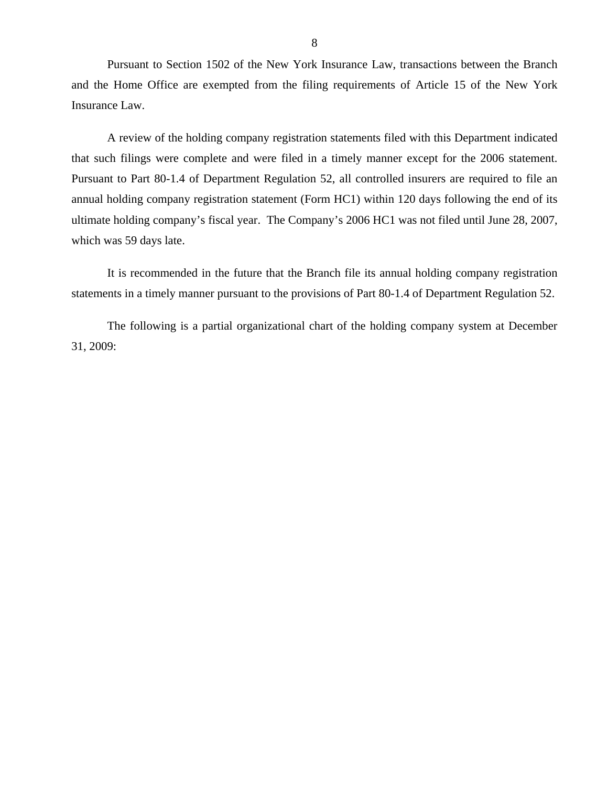Pursuant to Section 1502 of the New York Insurance Law, transactions between the Branch and the Home Office are exempted from the filing requirements of Article 15 of the New York Insurance Law.

A review of the holding company registration statements filed with this Department indicated that such filings were complete and were filed in a timely manner except for the 2006 statement. Pursuant to Part 80-1.4 of Department Regulation 52, all controlled insurers are required to file an annual holding company registration statement (Form HC1) within 120 days following the end of its ultimate holding company's fiscal year. The Company's 2006 HC1 was not filed until June 28, 2007, which was 59 days late.

It is recommended in the future that the Branch file its annual holding company registration statements in a timely manner pursuant to the provisions of Part 80-1.4 of Department Regulation 52.

The following is a partial organizational chart of the holding company system at December 31, 2009: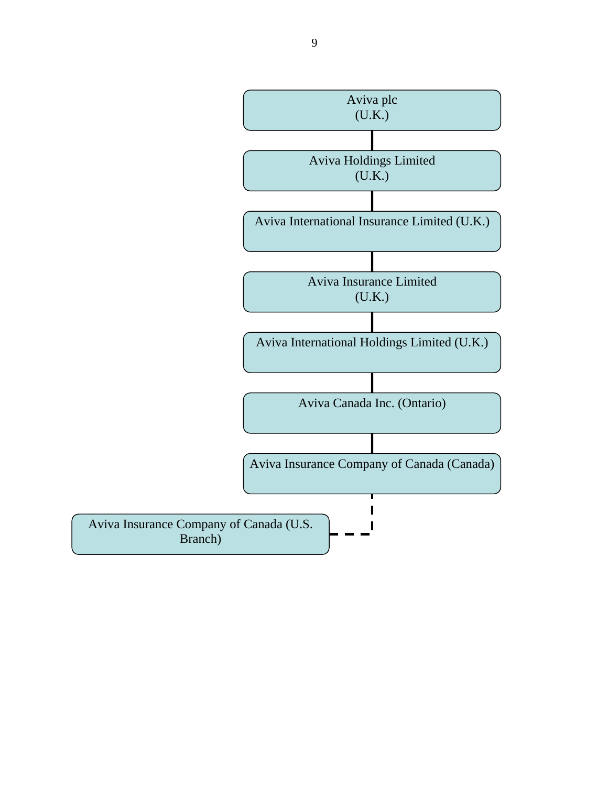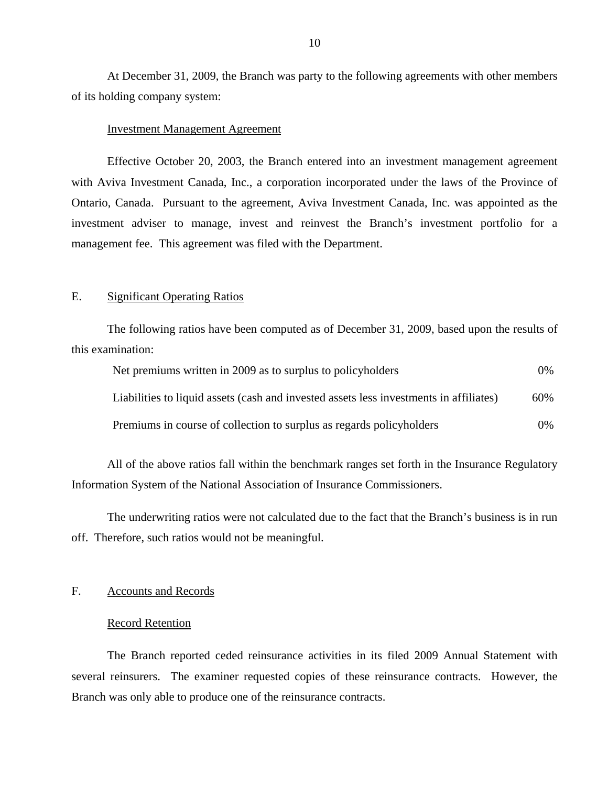At December 31, 2009, the Branch was party to the following agreements with other members of its holding company system:

#### Investment Management Agreement

Effective October 20, 2003, the Branch entered into an investment management agreement with Aviva Investment Canada, Inc., a corporation incorporated under the laws of the Province of Ontario, Canada. Pursuant to the agreement, Aviva Investment Canada, Inc. was appointed as the investment adviser to manage, invest and reinvest the Branch's investment portfolio for a management fee. This agreement was filed with the Department.

#### E. Significant Operating Ratios

The following ratios have been computed as of December 31, 2009, based upon the results of this examination:

| Net premiums written in 2009 as to surplus to policyholders                            | $0\%$ |
|----------------------------------------------------------------------------------------|-------|
| Liabilities to liquid assets (cash and invested assets less investments in affiliates) | 60%   |
| Premiums in course of collection to surplus as regards policyholders                   | $0\%$ |

All of the above ratios fall within the benchmark ranges set forth in the Insurance Regulatory Information System of the National Association of Insurance Commissioners.

The underwriting ratios were not calculated due to the fact that the Branch's business is in run off. Therefore, such ratios would not be meaningful.

### F. Accounts and Records

#### Record Retention

The Branch reported ceded reinsurance activities in its filed 2009 Annual Statement with several reinsurers. The examiner requested copies of these reinsurance contracts. However, the Branch was only able to produce one of the reinsurance contracts.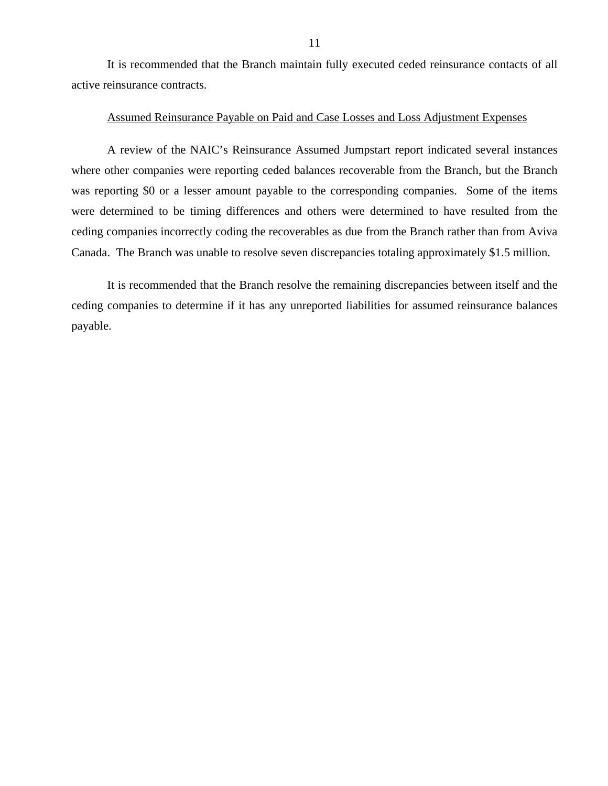It is recommended that the Branch maintain fully executed ceded reinsurance contacts of all active reinsurance contracts.

#### Assumed Reinsurance Payable on Paid and Case Losses and Loss Adjustment Expenses

A review of the NAIC's Reinsurance Assumed Jumpstart report indicated several instances where other companies were reporting ceded balances recoverable from the Branch, but the Branch was reporting \$0 or a lesser amount payable to the corresponding companies. Some of the items were determined to be timing differences and others were determined to have resulted from the ceding companies incorrectly coding the recoverables as due from the Branch rather than from Aviva Canada. The Branch was unable to resolve seven discrepancies totaling approximately \$1.5 million.

It is recommended that the Branch resolve the remaining discrepancies between itself and the ceding companies to determine if it has any unreported liabilities for assumed reinsurance balances payable.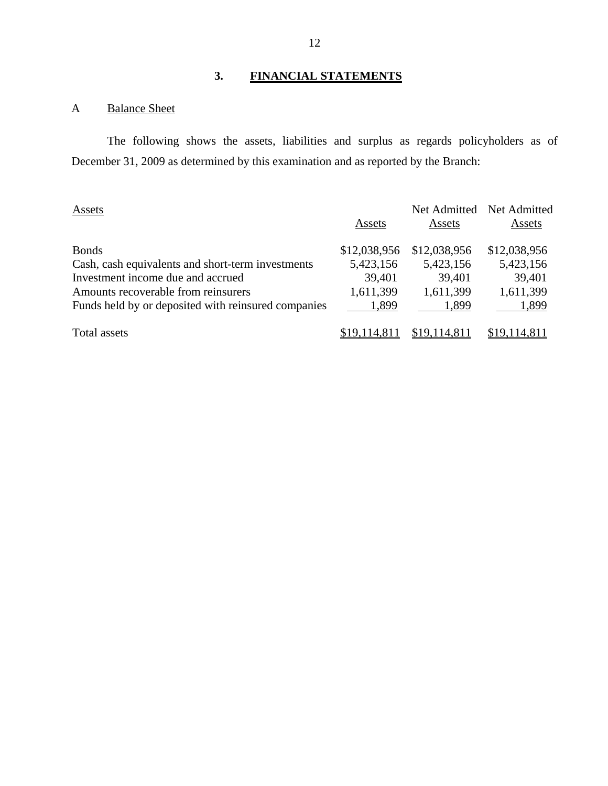# **3. FINANCIAL STATEMENTS**

# A Balance Sheet

The following shows the assets, liabilities and surplus as regards policyholders as of December 31, 2009 as determined by this examination and as reported by the Branch:

| Assets                                              | Assets       | Net Admitted<br>Assets | Net Admitted<br>Assets |
|-----------------------------------------------------|--------------|------------------------|------------------------|
| <b>Bonds</b>                                        | \$12,038,956 | \$12,038,956           | \$12,038,956           |
| Cash, cash equivalents and short-term investments   | 5,423,156    | 5,423,156              | 5,423,156              |
| Investment income due and accrued                   | 39,401       | 39,401                 | 39,401                 |
| Amounts recoverable from reinsurers                 | 1,611,399    | 1,611,399              | 1,611,399              |
| Funds held by or deposited with reinsured companies | 1,899        | 1,899                  | 1,899                  |
| Total assets                                        | \$19,114,81  | \$19,114,811           | \$19,114,811           |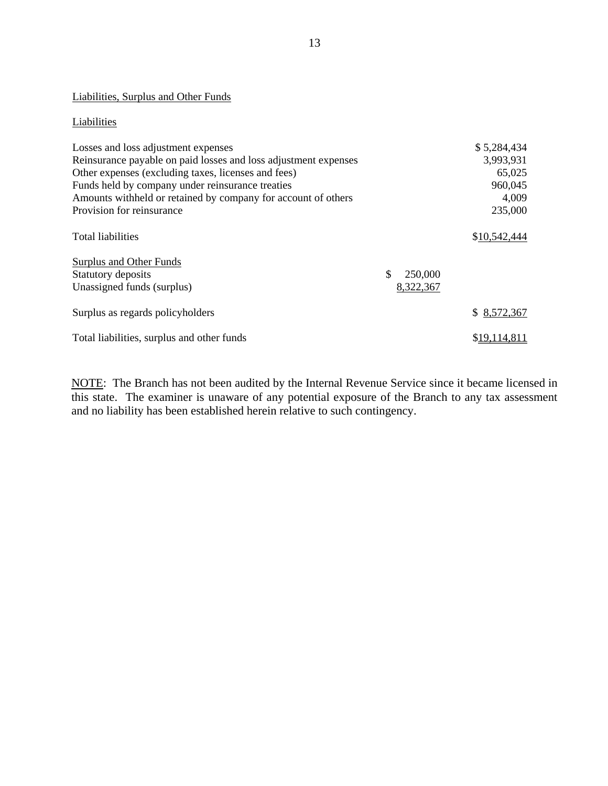# Liabilities, Surplus and Other Funds

#### Liabilities

| Liabilities                                                     |               |              |
|-----------------------------------------------------------------|---------------|--------------|
| Losses and loss adjustment expenses                             |               | \$5,284,434  |
| Reinsurance payable on paid losses and loss adjustment expenses |               | 3,993,931    |
| Other expenses (excluding taxes, licenses and fees)             |               | 65,025       |
| Funds held by company under reinsurance treaties                |               | 960,045      |
| Amounts withheld or retained by company for account of others   |               | 4,009        |
| Provision for reinsurance                                       |               | 235,000      |
| <b>Total liabilities</b>                                        |               | \$10,542,444 |
| Surplus and Other Funds                                         |               |              |
| Statutory deposits                                              | \$<br>250,000 |              |
| Unassigned funds (surplus)                                      | 8,322,367     |              |
| Surplus as regards policyholders                                |               | \$8,572,367  |
| Total liabilities, surplus and other funds                      |               | \$19.114.811 |

NOTE: The Branch has not been audited by the Internal Revenue Service since it became licensed in this state. The examiner is unaware of any potential exposure of the Branch to any tax assessment and no liability has been established herein relative to such contingency.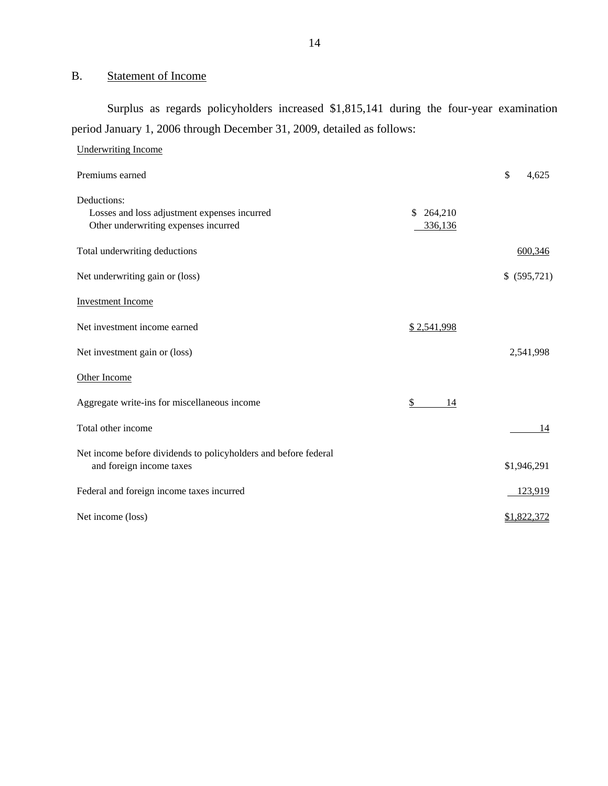# <span id="page-15-0"></span>B. Statement of Income

Surplus as regards policyholders increased \$1,815,141 during the four-year examination period January 1, 2006 through December 31, 2009, detailed as follows:

| <b>Underwriting Income</b>                                                                          |                      |              |
|-----------------------------------------------------------------------------------------------------|----------------------|--------------|
| Premiums earned                                                                                     |                      | \$<br>4.625  |
| Deductions:<br>Losses and loss adjustment expenses incurred<br>Other underwriting expenses incurred | \$264,210<br>336,136 |              |
| Total underwriting deductions                                                                       |                      | 600,346      |
| Net underwriting gain or (loss)                                                                     |                      | \$ (595,721) |
| <b>Investment Income</b>                                                                            |                      |              |
| Net investment income earned                                                                        | \$2,541,998          |              |
| Net investment gain or (loss)                                                                       |                      | 2,541,998    |
| Other Income                                                                                        |                      |              |
| Aggregate write-ins for miscellaneous income                                                        | \$<br>14             |              |
| Total other income                                                                                  |                      | 14           |
| Net income before dividends to policyholders and before federal<br>and foreign income taxes         |                      | \$1,946,291  |
| Federal and foreign income taxes incurred                                                           |                      | 123,919      |
| Net income (loss)                                                                                   |                      | \$1,822,372  |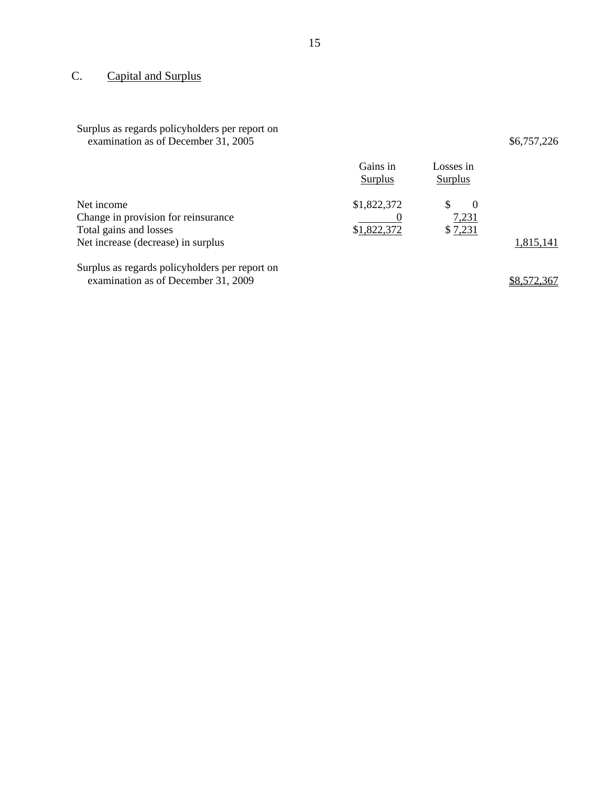# C. Capital and Surplus

| Surplus as regards policyholders per report on |
|------------------------------------------------|
| examination as of December 31, 2005            |

 $$6,757,226$ 

|                                     | Gains in<br>Surplus | Losses in<br>Surplus |           |
|-------------------------------------|---------------------|----------------------|-----------|
| Net income                          | \$1,822,372         | $\theta$             |           |
| Change in provision for reinsurance |                     | <u>7,231</u>         |           |
| Total gains and losses              | \$1,822,372         | \$7,231              |           |
| Net increase (decrease) in surplus  |                     |                      | 1,815,141 |

Surplus as regards policyholders per report on examination as of December 31, 2009  $\frac{$8,572,367}{2}$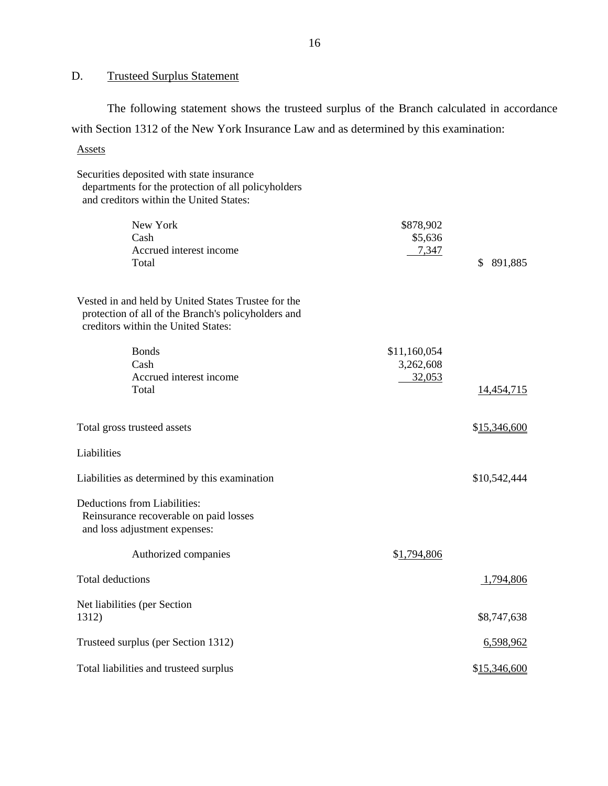#### **Trusteed Surplus Statement**

D. Trusteed Surplus Statement<br>The following statement shows the trusteed surplus of the Branch calculated in accordance with Section 1312 of the New York Insurance Law and as determined by this examination:

#### **Assets**

Assets<br>Securities deposited with state insurance Accrued interest income Accrued interest income 32,053 departments for the protection of all policyholders and creditors within the United States: New York Cash Total \$878,902 \$5,636 7,347 \$ 891,885 Vested in and held by United States Trustee for the protection of all of the Branch's policyholders and creditors within the United States: Bonds \$11,160,054 Cash 3,262,608 Total 14,454,715 Total gross trusteed assets  $$15,346,600$ Liabilities Liabilities as determined by this examination  $$10,542,444$ Deductions from Liabilities: Reinsurance recoverable on paid losses and loss adjustment expenses: Authorized companies  $$1,794,806$ Total deductions 1,794,806 Net liabilities (per Section 1312) \$8,747,638 Trusteed surplus (per Section 1312) 6,598,962 Total liabilities and trusteed surplus  $$15,346,600$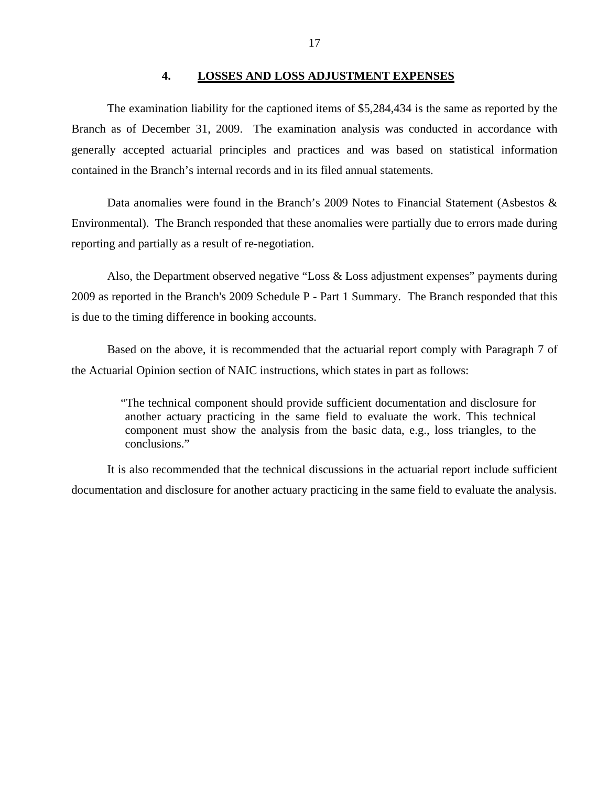#### **4. LOSSES AND LOSS ADJUSTMENT EXPENSES**

<span id="page-18-0"></span>The examination liability for the captioned items of \$5,284,434 is the same as reported by the Branch as of December 31, 2009. The examination analysis was conducted in accordance with generally accepted actuarial principles and practices and was based on statistical information contained in the Branch's internal records and in its filed annual statements.

Data anomalies were found in the Branch's 2009 Notes to Financial Statement (Asbestos & Environmental). The Branch responded that these anomalies were partially due to errors made during reporting and partially as a result of re-negotiation.

Also, the Department observed negative "Loss & Loss adjustment expenses" payments during 2009 as reported in the Branch's 2009 Schedule P - Part 1 Summary. The Branch responded that this is due to the timing difference in booking accounts.

Based on the above, it is recommended that the actuarial report comply with Paragraph 7 of the Actuarial Opinion section of NAIC instructions, which states in part as follows:

> "The technical component should provide sufficient documentation and disclosure for another actuary practicing in the same field to evaluate the work. This technical component must show the analysis from the basic data, e.g., loss triangles, to the conclusions."

It is also recommended that the technical discussions in the actuarial report include sufficient documentation and disclosure for another actuary practicing in the same field to evaluate the analysis.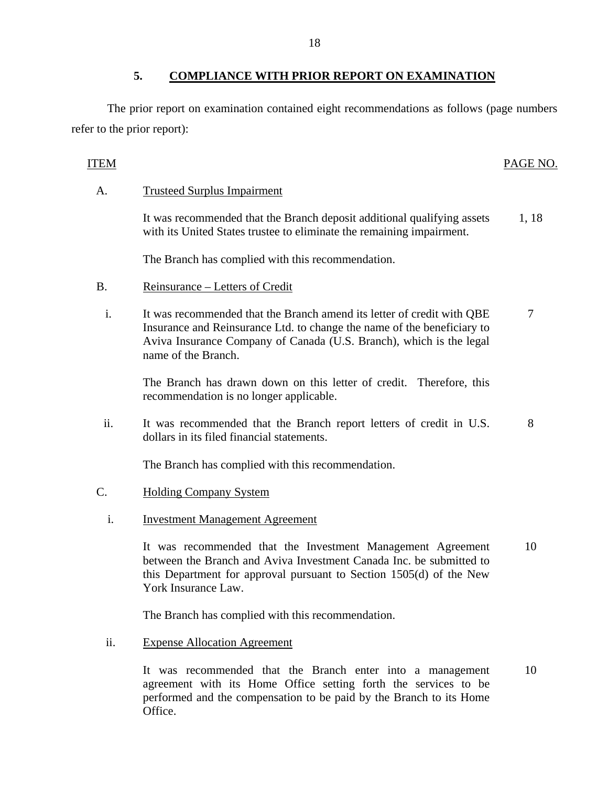# **5. COMPLIANCE WITH PRIOR REPORT ON EXAMINATION**

The prior report on examination contained eight recommendations as follows (page numbers refer to the prior report):

## ITEM PAGE NO.

**Trusteed Surplus Impairment** 

A. Trusteed Surplus Impairment<br>It was recommended that the Branch deposit additional qualifying assets with its United States trustee to eliminate the remaining impairment. 1, 18

The Branch has complied with this recommendation.

- Reinsurance Letters of Credit
- B. Reinsurance Letters of Credit i. It was recommended that the Branch amend its letter of credit with QBE Insurance and Reinsurance Ltd. to change the name of the beneficiary to Aviva Insurance Company of Canada (U.S. Branch), which is the legal name of the Branch. 7

The Branch has drawn down on this letter of credit. Therefore, this recommendation is no longer applicable.

ii. It was recommended that the Branch report letters of credit in U.S. dollars in its filed financial statements. 8

The Branch has complied with this recommendation.

- **Holding Company System** 
	- **Investment Management Agreement**

C. Holding Company System<br>i. Investment Management Agreement<br>It was recommended that the Investment Management Agreement between the Branch and Aviva Investment Canada Inc. be submitted to this Department for approval pursuant to Section 1505(d) of the New York Insurance Law. 10

The Branch has complied with this recommendation.

**Expense Allocation Agreement** 

ii. Expense Allocation Agreement<br>It was recommended that the Branch enter into a management agreement with its Home Office setting forth the services to be performed and the compensation to be paid by the Branch to its Home Office. 10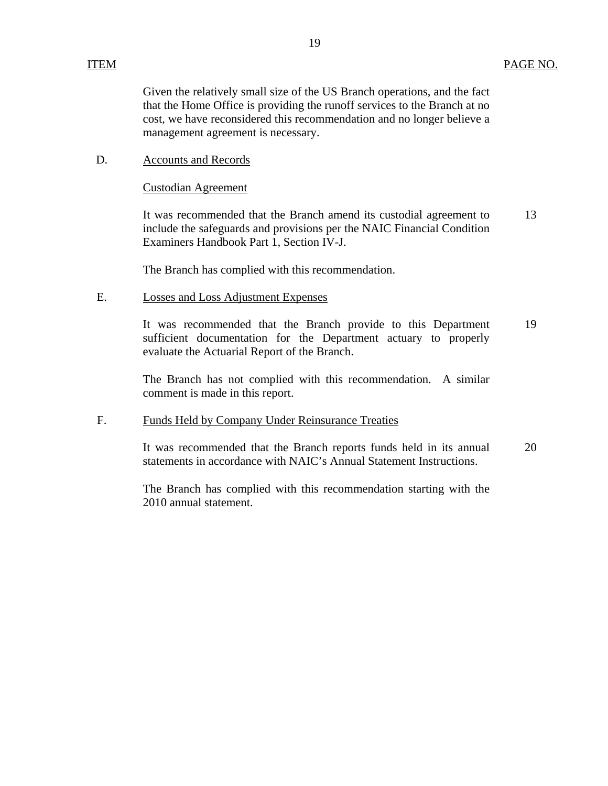Given the relatively small size of the US Branch operations, and the fact that the Home Office is providing the runoff services to the Branch at no cost, we have reconsidered this recommendation and no longer believe a management agreement is necessary.

### D. Accounts and Records

#### **Custodian Agreement**

It was recommended that the Branch amend its custodial agreement to include the safeguards and provisions per the NAIC Financial Condition Examiners Handbook Part 1, Section IV-J. 13

The Branch has complied with this recommendation.

#### **Losses and Loss Adjustment Expenses**

E. Losses and Loss Adjustment Expenses<br>It was recommended that the Branch provide to this Department sufficient documentation for the Department actuary to properly evaluate the Actuarial Report of the Branch. 19

> The Branch has not complied with this recommendation. A similar comment is made in this report.

# **Funds Held by Company Under Reinsurance Treaties** F. Funds Held by Company Under Reinsurance Treaties<br>It was recommended that the Branch reports funds held in its annual

statements in accordance with NAIC's Annual Statement Instructions. 20

The Branch has complied with this recommendation starting with the 2010 annual statement.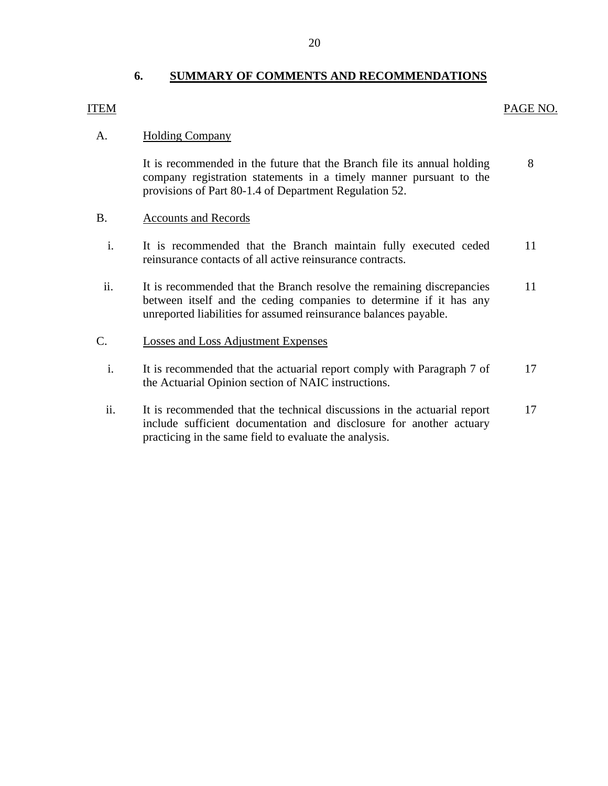# **6. SUMMARY OF COMMENTS AND RECOMMENDATIONS**

#### ITEM PAGE NO.

# **Holding Company**

8 A. Holding Company<br>It is recommended in the future that the Branch file its annual holding company registration statements in a timely manner pursuant to the provisions of Part 80-1.4 of Department Regulation 52.

## **Accounts and Records**

- B. Accounts and Records<br>i. It is recommended that the Branch maintain fully executed ceded 11 reinsurance contacts of all active reinsurance contracts.
- ii. It is recommended that the Branch resolve the remaining discrepancies 11 between itself and the ceding companies to determine if it has any unreported liabilities for assumed reinsurance balances payable.

## Losses and Loss Adjustment Expenses

- C. Losses and Loss Adjustment Expenses<br>i. It is recommended that the actuarial report comply with Paragraph 7 of 17 the Actuarial Opinion section of NAIC instructions.
	- ii. It is recommended that the technical discussions in the actuarial report 17 include sufficient documentation and disclosure for another actuary practicing in the same field to evaluate the analysis.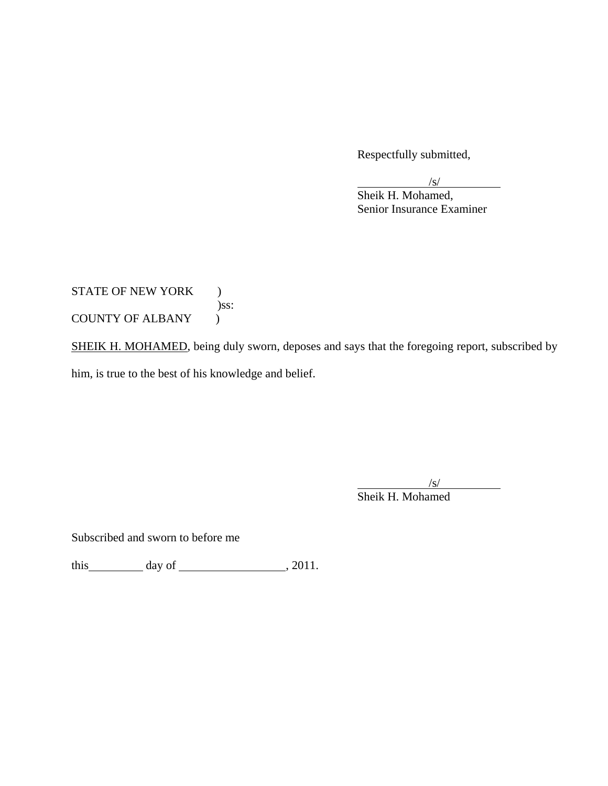Respectfully submitted,

 $\frac{1}{\sqrt{S}}$  Senior Insurance Examiner Sheik H. Mohamed,

STATE OF NEW YORK ) )ss: COUNTY OF ALBANY )

SHEIK H. MOHAMED, being duly sworn, deposes and says that the foregoing report, subscribed by him, is true to the best of his knowledge and belief.

 $\overline{a}$  $\sqrt{s}$ /s/ Sheik H. Mohamed

Subscribed and sworn to before me

this day of  $\qquad \qquad$  , 2011.